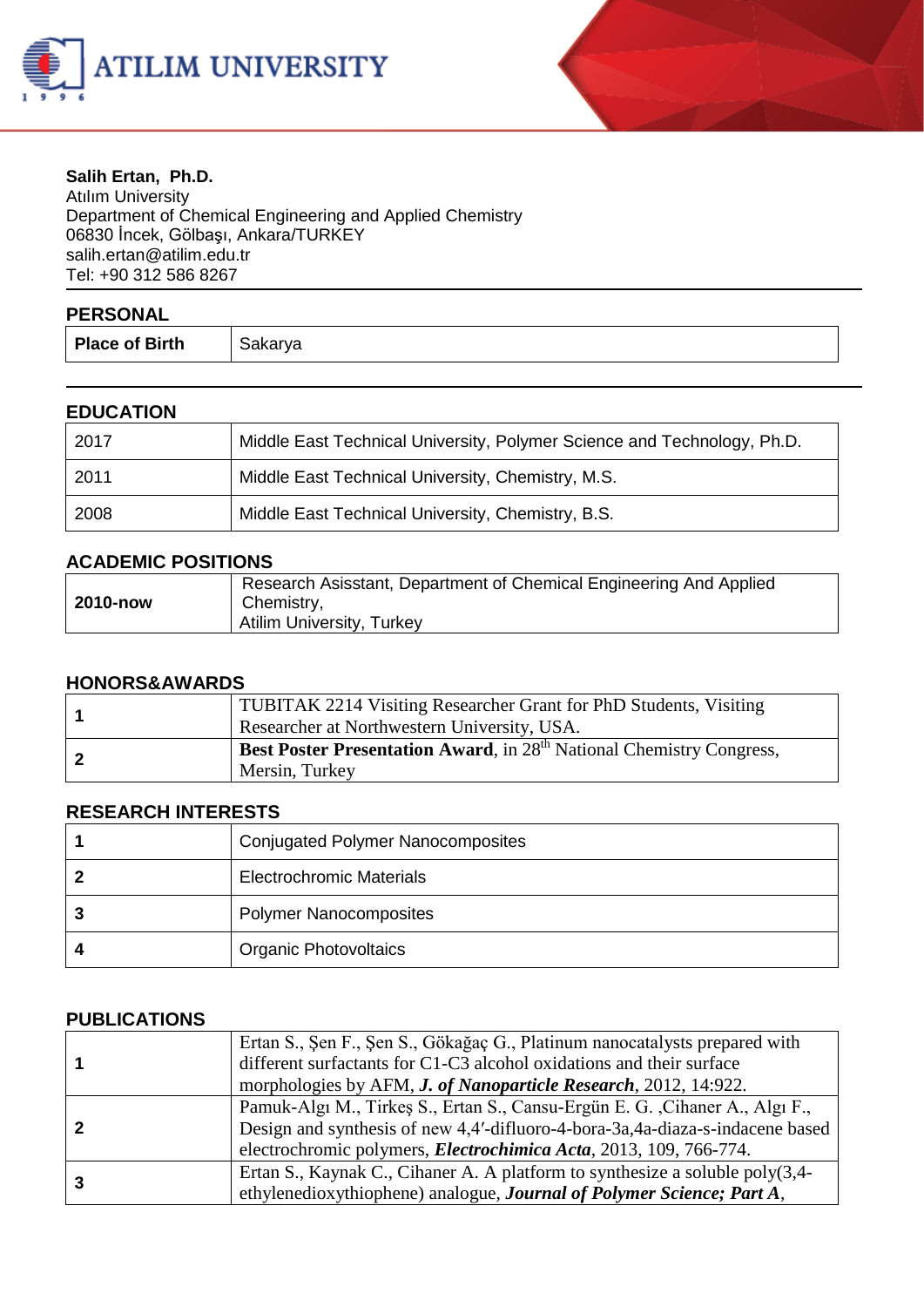



#### **Salih Ertan, Ph.D.** Atılım University Department of Chemical Engineering and Applied Chemistry 06830 İncek, Gölbaşı, Ankara/TURKEY salih.erta[n@atilim.edu.tr](mailto:ulug@bilkent.edu.tr) Tel: +90 312 586 8267

| <b>PERSONAL</b>       |         |
|-----------------------|---------|
| <b>Place of Birth</b> | Sakarya |

### **EDUCATION**

| 2017 | Middle East Technical University, Polymer Science and Technology, Ph.D. |
|------|-------------------------------------------------------------------------|
| 2011 | Middle East Technical University, Chemistry, M.S.                       |
| 2008 | Middle East Technical University, Chemistry, B.S.                       |

#### **ACADEMIC POSITIONS**

| 2010-now | Research Asisstant, Department of Chemical Engineering And Applied<br>Chemistry, |
|----------|----------------------------------------------------------------------------------|
|          | <b>Atilim University, Turkey</b>                                                 |

#### **HONORS&AWARDS**

|  | <b>TUBITAK 2214 Visiting Researcher Grant for PhD Students, Visiting</b>         |
|--|----------------------------------------------------------------------------------|
|  | Researcher at Northwestern University, USA.                                      |
|  | Best Poster Presentation Award, in 28 <sup>th</sup> National Chemistry Congress, |
|  | Mersin, Turkey                                                                   |

## **RESEARCH INTERESTS**

| <b>Conjugated Polymer Nanocomposites</b> |
|------------------------------------------|
| <b>Electrochromic Materials</b>          |
| <b>Polymer Nanocomposites</b>            |
| <b>Organic Photovoltaics</b>             |

## **PUBLICATIONS**

|  | Ertan S., Şen F., Şen S., Gökağaç G., Platinum nanocatalysts prepared with    |
|--|-------------------------------------------------------------------------------|
|  | different surfactants for C1-C3 alcohol oxidations and their surface          |
|  | morphologies by AFM, <i>J. of Nanoparticle Research</i> , 2012, 14:922.       |
|  | Pamuk-Algı M., Tirkeş S., Ertan S., Cansu-Ergün E. G., Cihaner A., Algı F.,   |
|  | Design and synthesis of new 4,4'-difluoro-4-bora-3a,4a-diaza-s-indacene based |
|  | electrochromic polymers, <i>Electrochimica Acta</i> , 2013, 109, 766-774.     |
|  | Ertan S., Kaynak C., Cihaner A. A platform to synthesize a soluble poly(3,4-  |
|  | ethylenedioxythiophene) analogue, Journal of Polymer Science; Part A,         |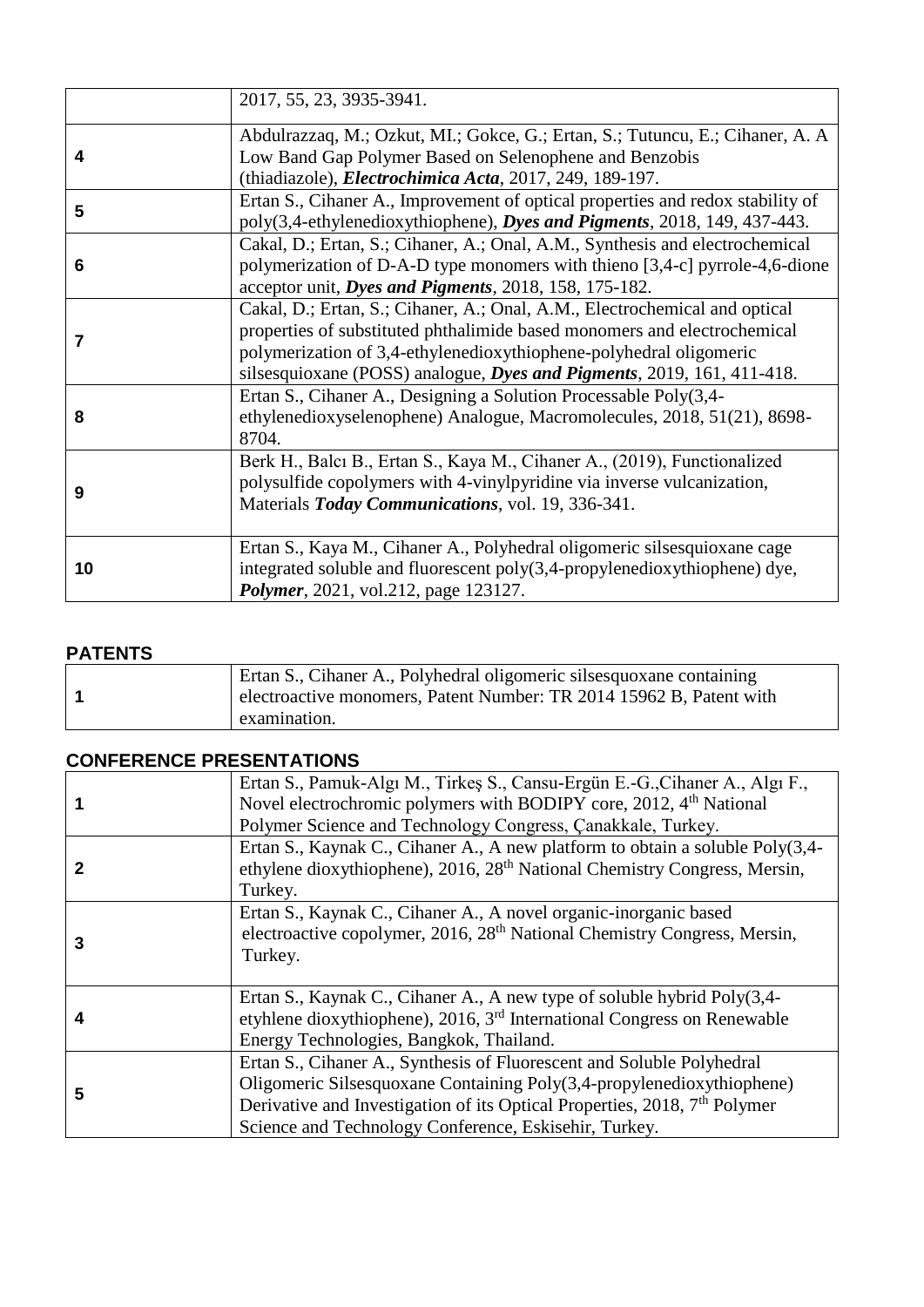|    | 2017, 55, 23, 3935-3941.                                                                                                                                                                                                                                                                                       |
|----|----------------------------------------------------------------------------------------------------------------------------------------------------------------------------------------------------------------------------------------------------------------------------------------------------------------|
| 4  | Abdulrazzaq, M.; Ozkut, MI.; Gokce, G.; Ertan, S.; Tutuncu, E.; Cihaner, A. A.<br>Low Band Gap Polymer Based on Selenophene and Benzobis<br>(thiadiazole), <i>Electrochimica Acta</i> , 2017, 249, 189-197.                                                                                                    |
| 5  | Ertan S., Cihaner A., Improvement of optical properties and redox stability of<br>poly(3,4-ethylenedioxythiophene), Dyes and Pigments, 2018, 149, 437-443.                                                                                                                                                     |
| 6  | Cakal, D.; Ertan, S.; Cihaner, A.; Onal, A.M., Synthesis and electrochemical<br>polymerization of D-A-D type monomers with thieno [3,4-c] pyrrole-4,6-dione<br>acceptor unit, Dyes and Pigments, 2018, 158, 175-182.                                                                                           |
| 7  | Cakal, D.; Ertan, S.; Cihaner, A.; Onal, A.M., Electrochemical and optical<br>properties of substituted phthalimide based monomers and electrochemical<br>polymerization of 3,4-ethylenedioxythiophene-polyhedral oligomeric<br>silsesquioxane (POSS) analogue, <i>Dyes and Pigments</i> , 2019, 161, 411-418. |
| 8  | Ertan S., Cihaner A., Designing a Solution Processable Poly(3,4-<br>ethylenedioxyselenophene) Analogue, Macromolecules, 2018, 51(21), 8698-<br>8704.                                                                                                                                                           |
| 9  | Berk H., Balcı B., Ertan S., Kaya M., Cihaner A., (2019), Functionalized<br>polysulfide copolymers with 4-vinylpyridine via inverse vulcanization,<br>Materials Today Communications, vol. 19, 336-341.                                                                                                        |
| 10 | Ertan S., Kaya M., Cihaner A., Polyhedral oligomeric silsesquioxane cage<br>integrated soluble and fluorescent poly(3,4-propylenedioxythiophene) dye,<br>Polymer, 2021, vol.212, page 123127.                                                                                                                  |

## **PATENTS**

| Ertan S., Cihaner A., Polyhedral oligomeric silsesquoxane containing |
|----------------------------------------------------------------------|
| electroactive monomers, Patent Number: TR 2014 15962 B, Patent with  |
| examination.                                                         |

## **CONFERENCE PRESENTATIONS**

|   | Ertan S., Pamuk-Algı M., Tirkeş S., Cansu-Ergün E.-G., Cihaner A., Algı F.,<br>Novel electrochromic polymers with BODIPY core, 2012, 4 <sup>th</sup> National<br>Polymer Science and Technology Congress, Çanakkale, Turkey.                                                                     |
|---|--------------------------------------------------------------------------------------------------------------------------------------------------------------------------------------------------------------------------------------------------------------------------------------------------|
| 2 | Ertan S., Kaynak C., Cihaner A., A new platform to obtain a soluble Poly(3,4-<br>ethylene dioxythiophene), 2016, 28 <sup>th</sup> National Chemistry Congress, Mersin,<br>Turkey.                                                                                                                |
| 3 | Ertan S., Kaynak C., Cihaner A., A novel organic-inorganic based<br>electroactive copolymer, 2016, 28 <sup>th</sup> National Chemistry Congress, Mersin,<br>Turkey.                                                                                                                              |
| 4 | Ertan S., Kaynak C., Cihaner A., A new type of soluble hybrid Poly(3,4-<br>etyhlene dioxythiophene), 2016, 3 <sup>rd</sup> International Congress on Renewable<br>Energy Technologies, Bangkok, Thailand.                                                                                        |
| 5 | Ertan S., Cihaner A., Synthesis of Fluorescent and Soluble Polyhedral<br>Oligomeric Silsesquoxane Containing Poly(3,4-propylenedioxythiophene)<br>Derivative and Investigation of its Optical Properties, 2018, 7 <sup>th</sup> Polymer<br>Science and Technology Conference, Eskisehir, Turkey. |